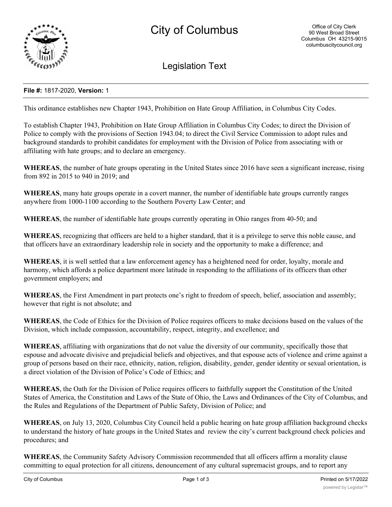

Legislation Text

## **File #:** 1817-2020, **Version:** 1

This ordinance establishes new Chapter 1943, Prohibition on Hate Group Affiliation, in Columbus City Codes.

To establish Chapter 1943, Prohibition on Hate Group Affiliation in Columbus City Codes; to direct the Division of Police to comply with the provisions of Section 1943.04; to direct the Civil Service Commission to adopt rules and background standards to prohibit candidates for employment with the Division of Police from associating with or affiliating with hate groups; and to declare an emergency.

**WHEREAS**, the number of hate groups operating in the United States since 2016 have seen a significant increase, rising from 892 in 2015 to 940 in 2019; and

**WHEREAS**, many hate groups operate in a covert manner, the number of identifiable hate groups currently ranges anywhere from 1000-1100 according to the Southern Poverty Law Center; and

**WHEREAS**, the number of identifiable hate groups currently operating in Ohio ranges from 40-50; and

**WHEREAS**, recognizing that officers are held to a higher standard, that it is a privilege to serve this noble cause, and that officers have an extraordinary leadership role in society and the opportunity to make a difference; and

**WHEREAS**, it is well settled that a law enforcement agency has a heightened need for order, loyalty, morale and harmony, which affords a police department more latitude in responding to the affiliations of its officers than other government employers; and

**WHEREAS**, the First Amendment in part protects one's right to freedom of speech, belief, association and assembly; however that right is not absolute; and

**WHEREAS**, the Code of Ethics for the Division of Police requires officers to make decisions based on the values of the Division, which include compassion, accountability, respect, integrity, and excellence; and

**WHEREAS**, affiliating with organizations that do not value the diversity of our community, specifically those that espouse and advocate divisive and prejudicial beliefs and objectives, and that espouse acts of violence and crime against a group of persons based on their race, ethnicity, nation, religion, disability, gender, gender identity or sexual orientation, is a direct violation of the Division of Police's Code of Ethics; and

**WHEREAS**, the Oath for the Division of Police requires officers to faithfully support the Constitution of the United States of America, the Constitution and Laws of the State of Ohio, the Laws and Ordinances of the City of Columbus, and the Rules and Regulations of the Department of Public Safety, Division of Police; and

**WHEREAS**, on July 13, 2020, Columbus City Council held a public hearing on hate group affiliation background checks to understand the history of hate groups in the United States and review the city's current background check policies and procedures; and

**WHEREAS**, the Community Safety Advisory Commission recommended that all officers affirm a morality clause committing to equal protection for all citizens, denouncement of any cultural supremacist groups, and to report any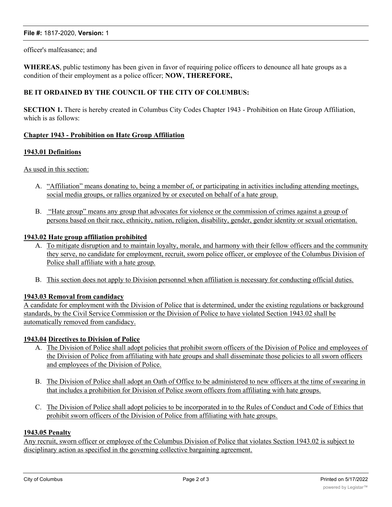# **File #:** 1817-2020, **Version:** 1

### officer's malfeasance; and

**WHEREAS**, public testimony has been given in favor of requiring police officers to denounce all hate groups as a condition of their employment as a police officer; **NOW, THEREFORE,**

## **BE IT ORDAINED BY THE COUNCIL OF THE CITY OF COLUMBUS:**

**SECTION 1.** There is hereby created in Columbus City Codes Chapter 1943 - Prohibition on Hate Group Affiliation, which is as follows:

### **Chapter 1943 - Prohibition on Hate Group Affiliation**

### **1943.01 Definitions**

As used in this section:

- A. "Affiliation" means donating to, being a member of, or participating in activities including attending meetings, social media groups, or rallies organized by or executed on behalf of a hate group.
- B. "Hate group" means any group that advocates for violence or the commission of crimes against a group of persons based on their race, ethnicity, nation, religion, disability, gender, gender identity or sexual orientation.

### **1943.02 Hate group affiliation prohibited**

- A. To mitigate disruption and to maintain loyalty, morale, and harmony with their fellow officers and the community they serve, no candidate for employment, recruit, sworn police officer, or employee of the Columbus Division of Police shall affiliate with a hate group.
- B. This section does not apply to Division personnel when affiliation is necessary for conducting official duties.

# **1943.03 Removal from candidacy**

A candidate for employment with the Division of Police that is determined, under the existing regulations or background standards, by the Civil Service Commission or the Division of Police to have violated Section 1943.02 shall be automatically removed from candidacy.

#### **1943.04 Directives to Division of Police**

- A. The Division of Police shall adopt policies that prohibit sworn officers of the Division of Police and employees of the Division of Police from affiliating with hate groups and shall disseminate those policies to all sworn officers and employees of the Division of Police.
- B. The Division of Police shall adopt an Oath of Office to be administered to new officers at the time of swearing in that includes a prohibition for Division of Police sworn officers from affiliating with hate groups.
- C. The Division of Police shall adopt policies to be incorporated in to the Rules of Conduct and Code of Ethics that prohibit sworn officers of the Division of Police from affiliating with hate groups.

#### **1943.05 Penalty**

Any recruit, sworn officer or employee of the Columbus Division of Police that violates Section 1943.02 is subject to disciplinary action as specified in the governing collective bargaining agreement.